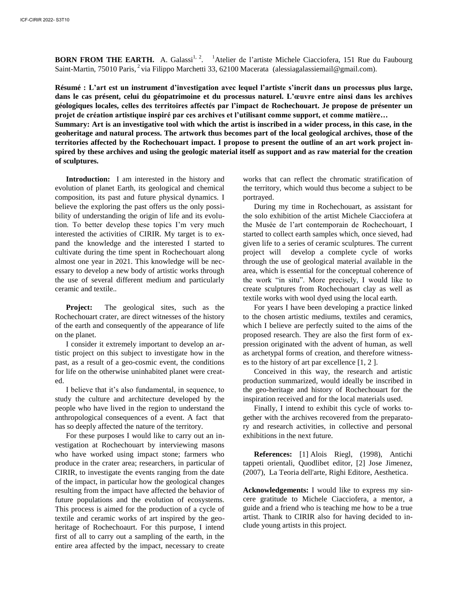**BORN FROM THE EARTH.** A. Galassi<sup>1, 2</sup>. <sup>1</sup>Atelier de l'artiste Michele Ciacciofera, 151 Rue du Faubourg Saint-Martin, 75010 Paris, <sup>2</sup> via Filippo Marchetti 33, 62100 Macerata (alessiagalassiemail@gmail.com).

**Résumé : L'art est un instrument d'investigation avec lequel l'artiste s'incrit dans un processus plus large, dans le cas présent, celui du géopatrimoine et du processus naturel. L'œuvre entre ainsi dans les archives géologiques locales, celles des territoires affectés par l'impact de Rochechouart. Je propose de présenter un projet de création artistique inspiré par ces archives et l'utilisant comme support, et comme matière… Summary: Art is an investigative tool with which the artist is inscribed in a wider process, in this case, in the geoheritage and natural process. The artwork thus becomes part of the local geological archives, those of the** 

**territories affected by the Rochechouart impact. I propose to present the outline of an art work project inspired by these archives and using the geologic material itself as support and as raw material for the creation of sculptures.** 

**Introduction:** I am interested in the history and evolution of planet Earth, its geological and chemical composition, its past and future physical dynamics. I believe the exploring the past offers us the only possibility of understanding the origin of life and its evolution. To better develop these topics I'm very much interested the activities of CIRIR. My target is to expand the knowledge and the interested I started to cultivate during the time spent in Rochechouart along almost one year in 2021. This knowledge will be necessary to develop a new body of artistic works through the use of several different medium and particularly ceramic and textile.*.*

**Project:** The geological sites, such as the Rochechouart crater, are direct witnesses of the history of the earth and consequently of the appearance of life on the planet.

I consider it extremely important to develop an artistic project on this subject to investigate how in the past, as a result of a geo-cosmic event, the conditions for life on the otherwise uninhabited planet were created.

I believe that it's also fundamental, in sequence, to study the culture and architecture developed by the people who have lived in the region to understand the anthropological consequences of a event. A fact that has so deeply affected the nature of the territory.

For these purposes I would like to carry out an investigation at Rochechouart by interviewing masons who have worked using impact stone; farmers who produce in the crater area; researchers, in particular of CIRIR, to investigate the events ranging from the date of the impact, in particular how the geological changes resulting from the impact have affected the behavior of future populations and the evolution of ecosystems. This process is aimed for the production of a cycle of textile and ceramic works of art inspired by the geoheritage of Rochechoaurt. For this purpose, I intend first of all to carry out a sampling of the earth, in the entire area affected by the impact, necessary to create works that can reflect the chromatic stratification of the territory, which would thus become a subject to be portrayed.

During my time in Rochechouart, as assistant for the solo exhibition of the artist Michele Ciacciofera at the Musée de l'art contemporain de Rochechouart, I started to collect earth samples which, once sieved, had given life to a series of ceramic sculptures. The current project will develop a complete cycle of works through the use of geological material available in the area, which is essential for the conceptual coherence of the work "in situ". More precisely, I would like to create sculptures from Rochechouart clay as well as textile works with wool dyed using the local earth.

For years I have been developing a practice linked to the chosen artistic mediums, textiles and ceramics, which I believe are perfectly suited to the aims of the proposed research. They are also the first form of expression originated with the advent of human, as well as archetypal forms of creation, and therefore witnesses to the history of art par excellence [1, 2 ].

Conceived in this way, the research and artistic production summarized, would ideally be inscribed in the geo-heritage and history of Rochechouart for the inspiration received and for the local materials used.

Finally, I intend to exhibit this cycle of works together with the archives recovered from the preparatory and research activities, in collective and personal exhibitions in the next future.

**References:** [1] Alois Riegl, (1998), Antichi tappeti orientali, Quodlibet editor, [2] Jose Jimenez, (2007), La Teoria dell'arte, Righi Editore, Aesthetica.

**Acknowledgements:** I would like to express my sincere gratitude to Michele Ciacciofera, a mentor, a guide and a friend who is teaching me how to be a true artist. Thank to CIRIR also for having decided to include young artists in this project.